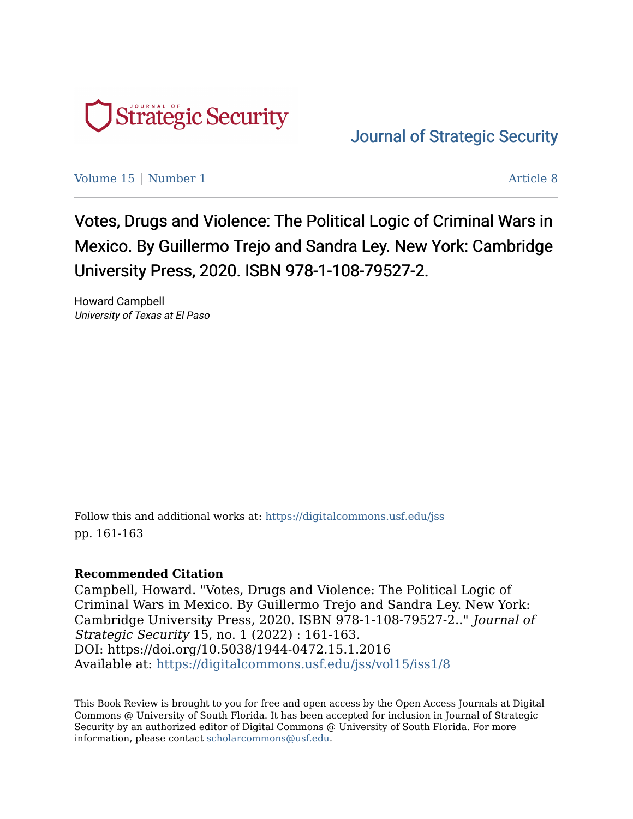

[Journal of Strategic Security](https://digitalcommons.usf.edu/jss) 

[Volume 15](https://digitalcommons.usf.edu/jss/vol15) | [Number 1](https://digitalcommons.usf.edu/jss/vol15/iss1) Article 8

Votes, Drugs and Violence: The Political Logic of Criminal Wars in Mexico. By Guillermo Trejo and Sandra Ley. New York: Cambridge University Press, 2020. ISBN 978-1-108-79527-2.

Howard Campbell University of Texas at El Paso

Follow this and additional works at: [https://digitalcommons.usf.edu/jss](https://digitalcommons.usf.edu/jss?utm_source=digitalcommons.usf.edu%2Fjss%2Fvol15%2Fiss1%2F8&utm_medium=PDF&utm_campaign=PDFCoverPages) pp. 161-163

## **Recommended Citation**

Campbell, Howard. "Votes, Drugs and Violence: The Political Logic of Criminal Wars in Mexico. By Guillermo Trejo and Sandra Ley. New York: Cambridge University Press, 2020. ISBN 978-1-108-79527-2.." Journal of Strategic Security 15, no. 1 (2022) : 161-163. DOI: https://doi.org/10.5038/1944-0472.15.1.2016 Available at: [https://digitalcommons.usf.edu/jss/vol15/iss1/8](https://digitalcommons.usf.edu/jss/vol15/iss1/8?utm_source=digitalcommons.usf.edu%2Fjss%2Fvol15%2Fiss1%2F8&utm_medium=PDF&utm_campaign=PDFCoverPages) 

This Book Review is brought to you for free and open access by the Open Access Journals at Digital Commons @ University of South Florida. It has been accepted for inclusion in Journal of Strategic Security by an authorized editor of Digital Commons @ University of South Florida. For more information, please contact [scholarcommons@usf.edu.](mailto:scholarcommons@usf.edu)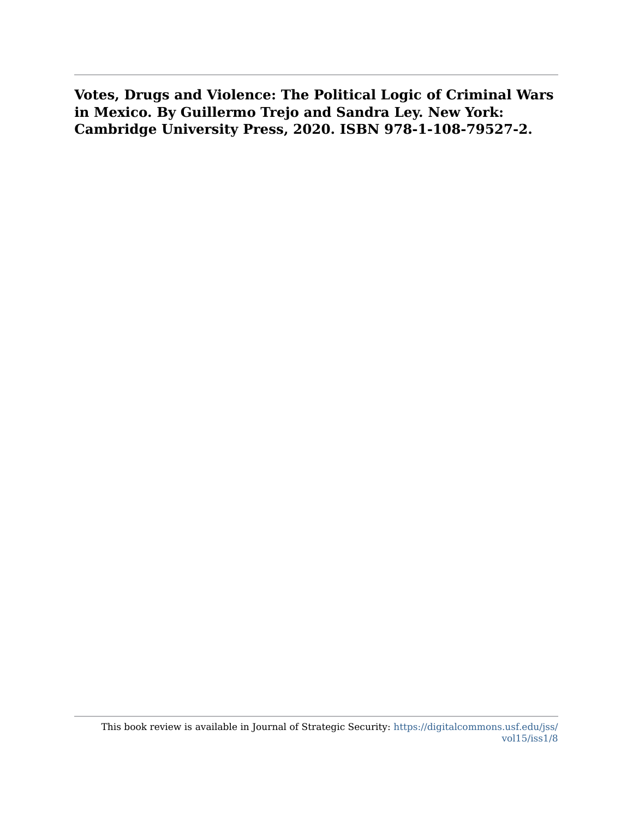**Votes, Drugs and Violence: The Political Logic of Criminal Wars in Mexico. By Guillermo Trejo and Sandra Ley. New York: Cambridge University Press, 2020. ISBN 978-1-108-79527-2.**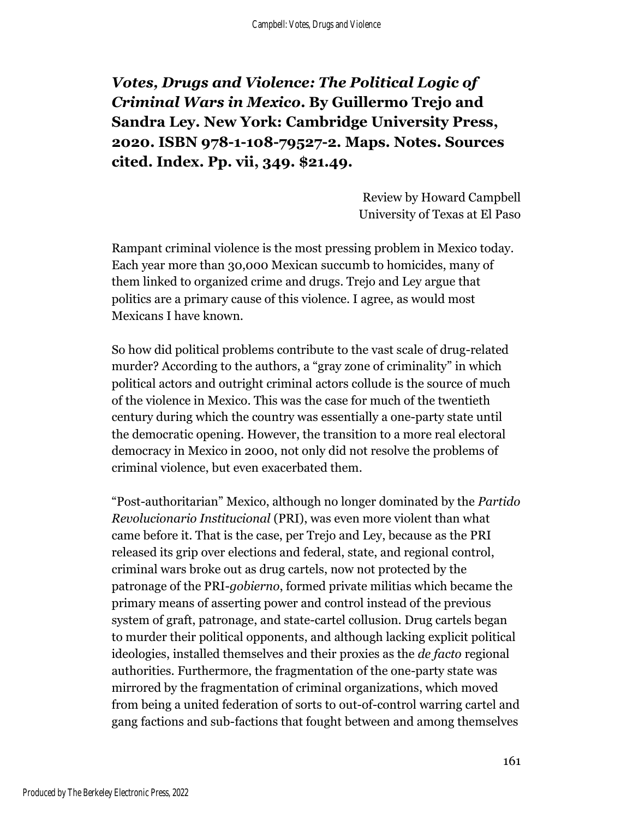*Votes, Drugs and Violence: The Political Logic of Criminal Wars in Mexico***. By Guillermo Trejo and Sandra Ley. New York: Cambridge University Press, 2020. ISBN 978-1-108-79527-2. Maps. Notes. Sources cited. Index. Pp. vii, 349. \$21.49.**

> Review by Howard Campbell University of Texas at El Paso

Rampant criminal violence is the most pressing problem in Mexico today. Each year more than 30,000 Mexican succumb to homicides, many of them linked to organized crime and drugs. Trejo and Ley argue that politics are a primary cause of this violence. I agree, as would most Mexicans I have known.

So how did political problems contribute to the vast scale of drug-related murder? According to the authors, a "gray zone of criminality" in which political actors and outright criminal actors collude is the source of much of the violence in Mexico. This was the case for much of the twentieth century during which the country was essentially a one-party state until the democratic opening. However, the transition to a more real electoral democracy in Mexico in 2000, not only did not resolve the problems of criminal violence, but even exacerbated them.

"Post-authoritarian" Mexico, although no longer dominated by the *Partido Revolucionario Institucional* (PRI), was even more violent than what came before it. That is the case, per Trejo and Ley, because as the PRI released its grip over elections and federal, state, and regional control, criminal wars broke out as drug cartels, now not protected by the patronage of the PRI-*gobierno*, formed private militias which became the primary means of asserting power and control instead of the previous system of graft, patronage, and state-cartel collusion. Drug cartels began to murder their political opponents, and although lacking explicit political ideologies, installed themselves and their proxies as the *de facto* regional authorities. Furthermore, the fragmentation of the one-party state was mirrored by the fragmentation of criminal organizations, which moved from being a united federation of sorts to out-of-control warring cartel and gang factions and sub-factions that fought between and among themselves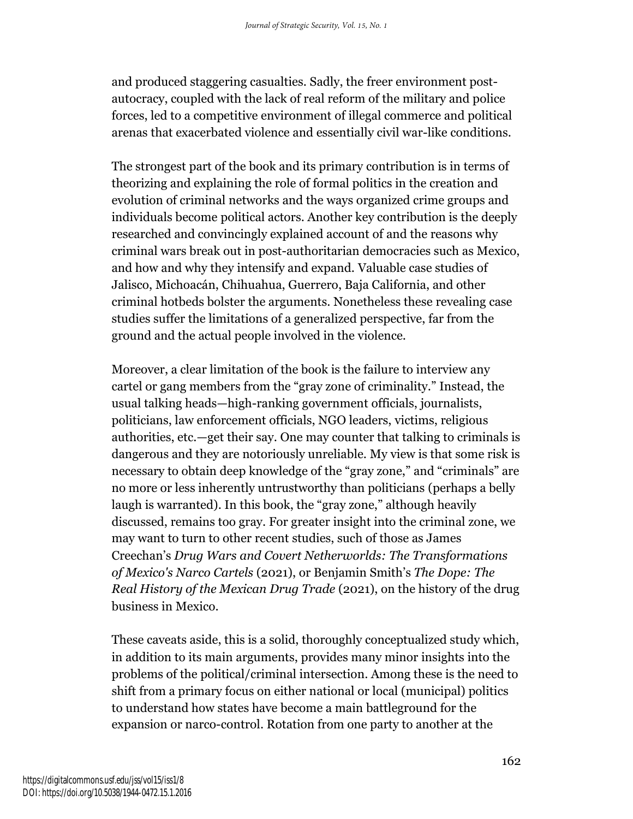and produced staggering casualties. Sadly, the freer environment postautocracy, coupled with the lack of real reform of the military and police forces, led to a competitive environment of illegal commerce and political arenas that exacerbated violence and essentially civil war-like conditions.

The strongest part of the book and its primary contribution is in terms of theorizing and explaining the role of formal politics in the creation and evolution of criminal networks and the ways organized crime groups and individuals become political actors. Another key contribution is the deeply researched and convincingly explained account of and the reasons why criminal wars break out in post-authoritarian democracies such as Mexico, and how and why they intensify and expand. Valuable case studies of Jalisco, Michoacán, Chihuahua, Guerrero, Baja California, and other criminal hotbeds bolster the arguments. Nonetheless these revealing case studies suffer the limitations of a generalized perspective, far from the ground and the actual people involved in the violence.

Moreover, a clear limitation of the book is the failure to interview any cartel or gang members from the "gray zone of criminality." Instead, the usual talking heads—high-ranking government officials, journalists, politicians, law enforcement officials, NGO leaders, victims, religious authorities, etc.—get their say. One may counter that talking to criminals is dangerous and they are notoriously unreliable. My view is that some risk is necessary to obtain deep knowledge of the "gray zone," and "criminals" are no more or less inherently untrustworthy than politicians (perhaps a belly laugh is warranted). In this book, the "gray zone," although heavily discussed, remains too gray. For greater insight into the criminal zone, we may want to turn to other recent studies, such of those as James Creechan's *Drug Wars and Covert Netherworlds: The Transformations of Mexico's Narco Cartels* (2021), or Benjamin Smith's *The Dope: The Real History of the Mexican Drug Trade* (2021), on the history of the drug business in Mexico.

These caveats aside, this is a solid, thoroughly conceptualized study which, in addition to its main arguments, provides many minor insights into the problems of the political/criminal intersection. Among these is the need to shift from a primary focus on either national or local (municipal) politics to understand how states have become a main battleground for the expansion or narco-control. Rotation from one party to another at the